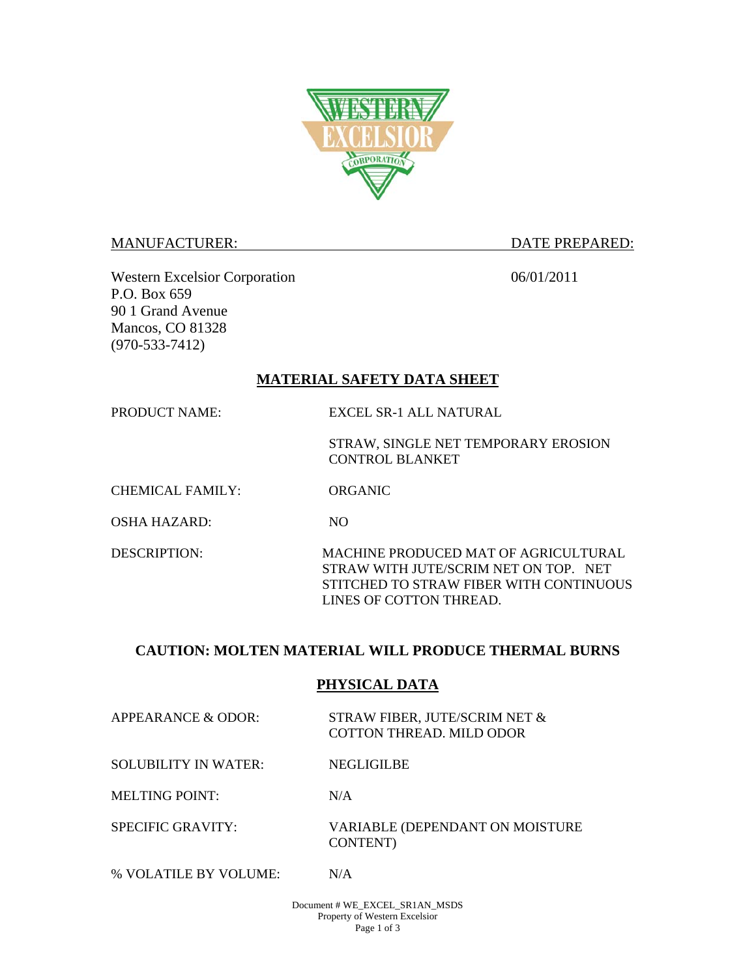

#### MANUFACTURER: DATE PREPARED:

Western Excelsior Corporation 06/01/2011 P.O. Box 659 90 1 Grand Avenue Mancos, CO 81328 (970-533-7412)

# **MATERIAL SAFETY DATA SHEET**

PRODUCT NAME: EXCEL SR-1 ALL NATURAL

STRAW, SINGLE NET TEMPORARY EROSION CONTROL BLANKET

CHEMICAL FAMILY: ORGANIC

OSHA HAZARD: NO

DESCRIPTION: MACHINE PRODUCED MAT OF AGRICULTURAL STRAW WITH JUTE/SCRIM NET ON TOP. NET STITCHED TO STRAW FIBER WITH CONTINUOUS LINES OF COTTON THREAD.

# **CAUTION: MOLTEN MATERIAL WILL PRODUCE THERMAL BURNS**

### **PHYSICAL DATA**

APPEARANCE & ODOR: STRAW FIBER, JUTE/SCRIM NET & COTTON THREAD. MILD ODOR

SOLUBILITY IN WATER: NEGLIGILBE

MELTING POINT: N/A

SPECIFIC GRAVITY: VARIABLE (DEPENDANT ON MOISTURE CONTENT)

% VOLATILE BY VOLUME: N/A

Document # WE\_EXCEL\_SR1AN\_MSDS Property of Western Excelsior Page 1 of 3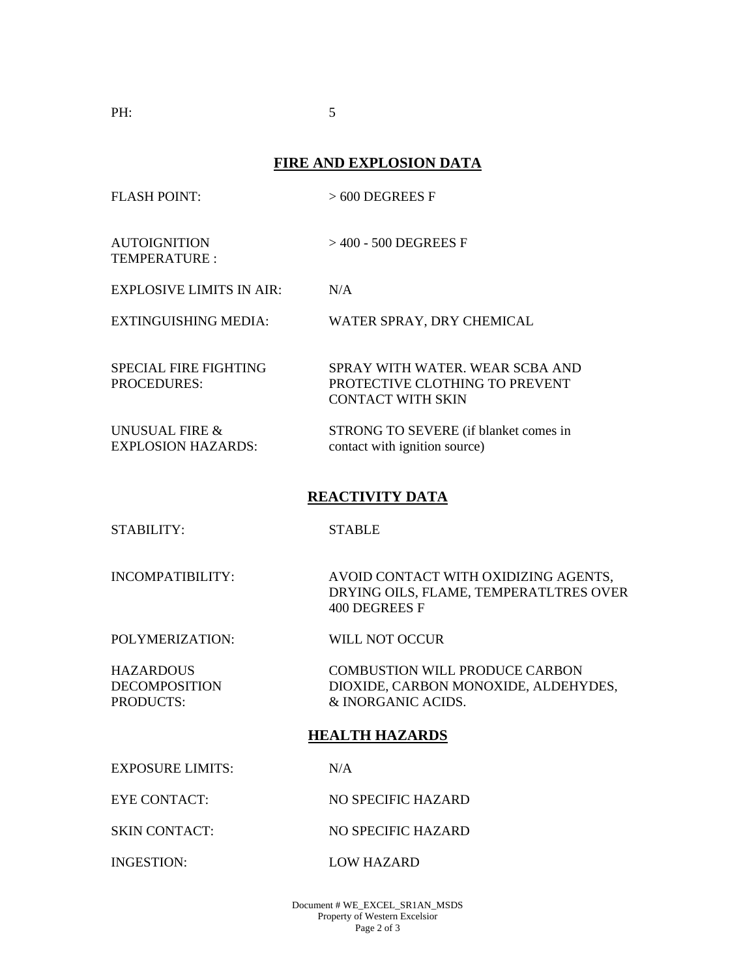**PH:** 5

# **FIRE AND EXPLOSION DATA**

| <b>FLASH POINT:</b>                                   | $>600$ DEGREES F                                                                                    |
|-------------------------------------------------------|-----------------------------------------------------------------------------------------------------|
| <b>AUTOIGNITION</b><br><b>TEMPERATURE:</b>            | $>400$ - 500 DEGREES F                                                                              |
| <b>EXPLOSIVE LIMITS IN AIR:</b>                       | N/A                                                                                                 |
| <b>EXTINGUISHING MEDIA:</b>                           | WATER SPRAY, DRY CHEMICAL                                                                           |
| <b>SPECIAL FIRE FIGHTING</b><br><b>PROCEDURES:</b>    | SPRAY WITH WATER. WEAR SCBA AND<br>PROTECTIVE CLOTHING TO PREVENT<br><b>CONTACT WITH SKIN</b>       |
| UNUSUAL FIRE &<br><b>EXPLOSION HAZARDS:</b>           | STRONG TO SEVERE (if blanket comes in<br>contact with ignition source)                              |
| <b>REACTIVITY DATA</b>                                |                                                                                                     |
| <b>STABILITY:</b>                                     | <b>STABLE</b>                                                                                       |
| <b>INCOMPATIBILITY:</b>                               | AVOID CONTACT WITH OXIDIZING AGENTS,<br>DRYING OILS, FLAME, TEMPERATLTRES OVER<br>400 DEGREES F     |
| POLYMERIZATION:                                       | WILL NOT OCCUR                                                                                      |
| <b>HAZARDOUS</b><br><b>DECOMPOSITION</b><br>PRODUCTS: | <b>COMBUSTION WILL PRODUCE CARBON</b><br>DIOXIDE, CARBON MONOXIDE, ALDEHYDES,<br>& INORGANIC ACIDS. |
| <b>HEALTH HAZARDS</b>                                 |                                                                                                     |
| <b>EXPOSURE LIMITS:</b>                               | N/A                                                                                                 |
| <b>EYE CONTACT:</b>                                   | NO SPECIFIC HAZARD                                                                                  |

SKIN CONTACT: NO SPECIFIC HAZARD

INGESTION: LOW HAZARD

Document # WE\_EXCEL\_SR1AN\_MSDS Property of Western Excelsior Page 2 of 3